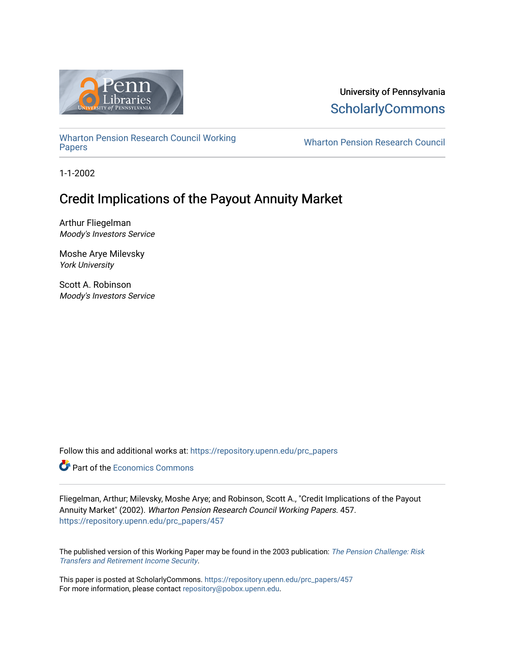

University of Pennsylvania **ScholarlyCommons** 

[Wharton Pension Research Council Working](https://repository.upenn.edu/prc_papers)

**Wharton Pension Research Council** 

1-1-2002

# Credit Implications of the Payout Annuity Market

Arthur Fliegelman Moody's Investors Service

Moshe Arye Milevsky York University

Scott A. Robinson Moody's Investors Service

Follow this and additional works at: [https://repository.upenn.edu/prc\\_papers](https://repository.upenn.edu/prc_papers?utm_source=repository.upenn.edu%2Fprc_papers%2F457&utm_medium=PDF&utm_campaign=PDFCoverPages) 

**C** Part of the [Economics Commons](http://network.bepress.com/hgg/discipline/340?utm_source=repository.upenn.edu%2Fprc_papers%2F457&utm_medium=PDF&utm_campaign=PDFCoverPages)

Fliegelman, Arthur; Milevsky, Moshe Arye; and Robinson, Scott A., "Credit Implications of the Payout Annuity Market" (2002). Wharton Pension Research Council Working Papers. 457. [https://repository.upenn.edu/prc\\_papers/457](https://repository.upenn.edu/prc_papers/457?utm_source=repository.upenn.edu%2Fprc_papers%2F457&utm_medium=PDF&utm_campaign=PDFCoverPages) 

The published version of this Working Paper may be found in the 2003 publication: [The Pension Challenge: Risk](https://pensionresearchcouncil.wharton.upenn.edu/publications/books/the-pension-challenge-risk-transfers-and-retirement-income-security/)  [Transfers and Retirement Income Security](https://pensionresearchcouncil.wharton.upenn.edu/publications/books/the-pension-challenge-risk-transfers-and-retirement-income-security/).

This paper is posted at ScholarlyCommons. [https://repository.upenn.edu/prc\\_papers/457](https://repository.upenn.edu/prc_papers/457)  For more information, please contact [repository@pobox.upenn.edu.](mailto:repository@pobox.upenn.edu)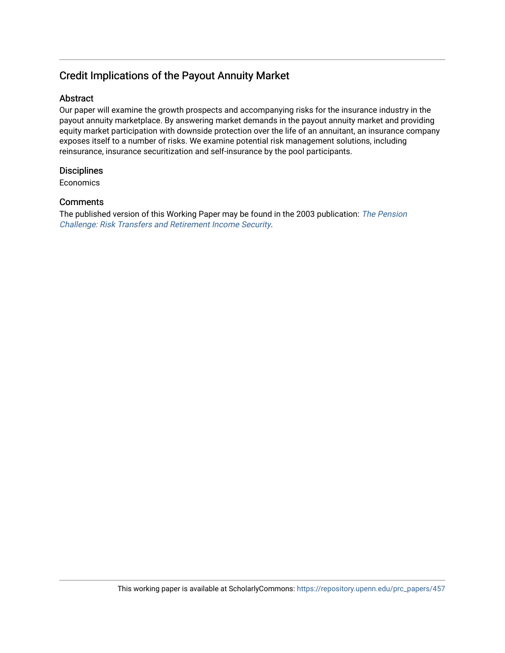# **Abstract**

Our paper will examine the growth prospects and accompanying risks for the insurance industry in the payout annuity marketplace. By answering market demands in the payout annuity market and providing equity market participation with downside protection over the life of an annuitant, an insurance company exposes itself to a number of risks. We examine potential risk management solutions, including reinsurance, insurance securitization and self-insurance by the pool participants.

# **Disciplines**

Economics

# **Comments**

The published version of this Working Paper may be found in the 2003 publication: [The Pension](https://pensionresearchcouncil.wharton.upenn.edu/publications/books/the-pension-challenge-risk-transfers-and-retirement-income-security/)  [Challenge: Risk Transfers and Retirement Income Security](https://pensionresearchcouncil.wharton.upenn.edu/publications/books/the-pension-challenge-risk-transfers-and-retirement-income-security/).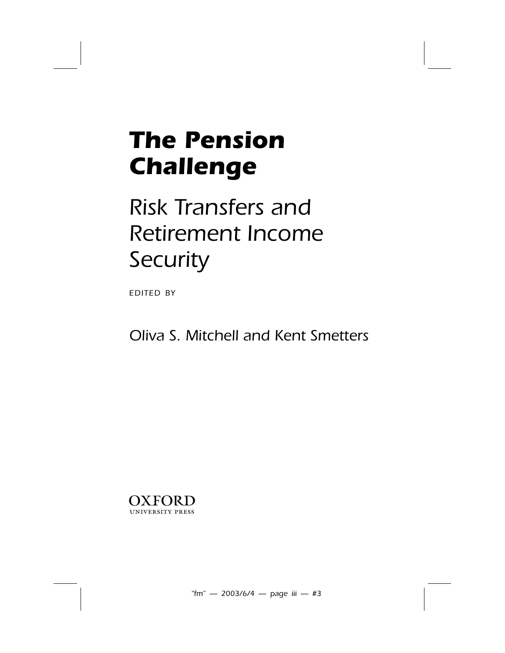# *The Pension Challenge*

# Risk Transfers and Retirement Income **Security**

EDITED BY

Oliva S. Mitchell and Kent Smetters



"fm" — 2003/6/4 — page iii — #3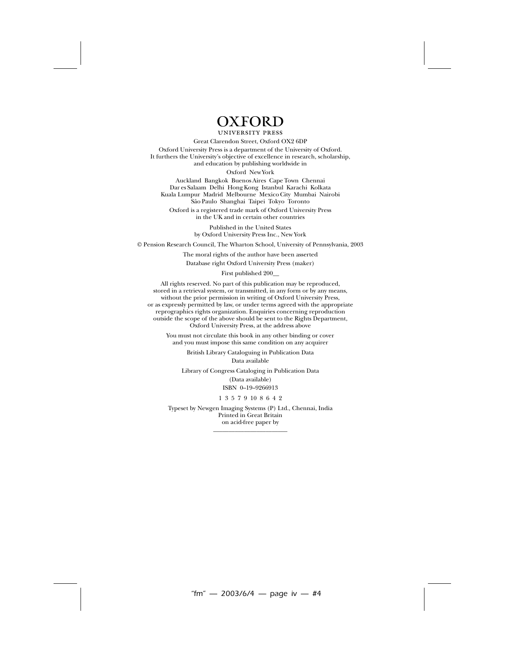

It furthers the University's objective of excellence in research, scholarship, Oxford University Press is a department of the University of Oxford. Great Clarendon Street, Oxford OX2 6DP and education by publishing worldwide in

Oxford New York

Auckland Bangkok Buenos Aires Cape Town Chennai Dar es Salaam Delhi Hong Kong Istanbul Karachi Kolkata Kuala Lumpur Madrid Melbourne Mexico City Mumbai Nairobi São Paulo Shanghai Taipei Tokyo Toronto Oxford is a registered trade mark of Oxford University Press in the UK and in certain other countries

> Published in the United States by Oxford University Press Inc., New York

© Pension Research Council, The Wharton School, University of Pennsylvania, 2003

The moral rights of the author have been asserted Database right Oxford University Press (maker)

First published 200\_\_

All rights reserved. No part of this publication may be reproduced, stored in a retrieval system, or transmitted, in any form or by any means, without the prior permission in writing of Oxford University Press, or as expressly permitted by law, or under terms agreed with the appropriate reprographics rights organization. Enquiries concerning reproduction outside the scope of the above should be sent to the Rights Department, Oxford University Press, at the address above

You must not circulate this book in any other binding or cover and you must impose this same condition on any acquirer

> British Library Cataloguing in Publication Data Data available

Library of Congress Cataloging in Publication Data (Data available)

ISBN 0-19-9266913

1 3 5 7 9 10 8 6 4 2

Typeset by Newgen Imaging Systems (P) Ltd., Chennai, India Printed in Great Britain on acid-free paper by \_\_\_\_\_\_\_\_\_\_\_\_\_\_\_\_\_\_\_\_\_\_\_\_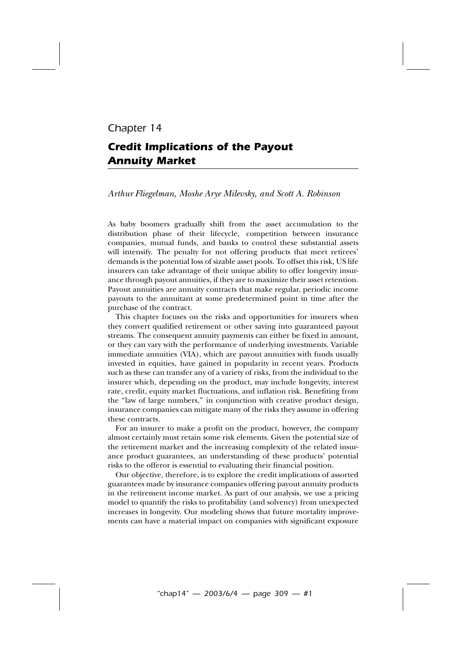# *Chapter 14*

# *Credit Implications of the Payout Annuity Market*

*Arthur Fliegelman, Moshe Arye Milevsky, and Scott A. Robinson*

As baby boomers gradually shift from the asset accumulation to the distribution phase of their lifecycle, competition between insurance companies, mutual funds, and banks to control these substantial assets will intensify. The penalty for not offering products that meet retirees' demands is the potential loss of sizable asset pools. To offset this risk, US life insurers can take advantage of their unique ability to offer longevity insurance through payout annuities, if they are to maximize their asset retention. Payout annuities are annuity contracts that make regular, periodic income payouts to the annuitant at some predetermined point in time after the purchase of the contract.

This chapter focuses on the risks and opportunities for insurers when they convert qualified retirement or other saving into guaranteed payout streams. The consequent annuity payments can either be fixed in amount, or they can vary with the performance of underlying investments. Variable immediate annuities (VIA), which are payout annuities with funds usually invested in equities, have gained in popularity in recent years. Products such as these can transfer any of a variety of risks, from the individual to the insurer which, depending on the product, may include longevity, interest rate, credit, equity market fluctuations, and inflation risk. Benefiting from the ''law of large numbers,'' in conjunction with creative product design, insurance companies can mitigate many of the risks they assume in offering these contracts.

For an insurer to make a profit on the product, however, the company almost certainly must retain some risk elements. Given the potential size of the retirement market and the increasing complexity of the related insurance product guarantees, an understanding of these products' potential risks to the offeror is essential to evaluating their financial position.

Our objective, therefore, is to explore the credit implications of assorted guarantees made by insurance companies offering payout annuity products in the retirement income market. As part of our analysis, we use a pricing model to quantify the risks to profitability (and solvency) from unexpected increases in longevity. Our modeling shows that future mortality improvements can have a material impact on companies with significant exposure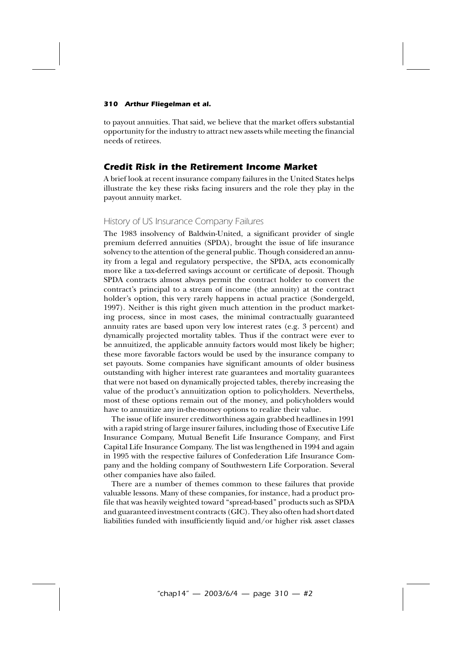to payout annuities. That said, we believe that the market offers substantial opportunity for the industry to attract new assets while meeting the financial needs of retirees.

# *Credit Risk in the Retirement Income Market*

A brief look at recent insurance company failures in the United States helps illustrate the key these risks facing insurers and the role they play in the payout annuity market.

# *History of US Insurance Company Failures*

The 1983 insolvency of Baldwin-United, a significant provider of single premium deferred annuities (SPDA), brought the issue of life insurance solvency to the attention of the general public. Though considered an annuity from a legal and regulatory perspective, the SPDA, acts economically more like a tax-deferred savings account or certificate of deposit. Though SPDA contracts almost always permit the contract holder to convert the contract's principal to a stream of income (the annuity) at the contract holder's option, this very rarely happens in actual practice (Sondergeld, 1997). Neither is this right given much attention in the product marketing process, since in most cases, the minimal contractually guaranteed annuity rates are based upon very low interest rates (e.g. 3 percent) and dynamically projected mortality tables. Thus if the contract were ever to be annuitized, the applicable annuity factors would most likely be higher; these more favorable factors would be used by the insurance company to set payouts. Some companies have significant amounts of older business outstanding with higher interest rate guarantees and mortality guarantees that were not based on dynamically projected tables, thereby increasing the value of the product's annuitization option to policyholders. Neverthelss, most of these options remain out of the money, and policyholders would have to annuitize any in-the-money options to realize their value.

The issue of life insurer creditworthiness again grabbed headlines in 1991 with a rapid string of large insurer failures, including those of Executive Life Insurance Company, Mutual Benefit Life Insurance Company, and First Capital Life Insurance Company. The list was lengthened in 1994 and again in 1995 with the respective failures of Confederation Life Insurance Company and the holding company of Southwestern Life Corporation. Several other companies have also failed.

There are a number of themes common to these failures that provide valuable lessons. Many of these companies, for instance, had a product profile that was heavily weighted toward ''spread-based'' products such as SPDA and guaranteed investment contracts (GIC). They also often had short dated liabilities funded with insufficiently liquid and/or higher risk asset classes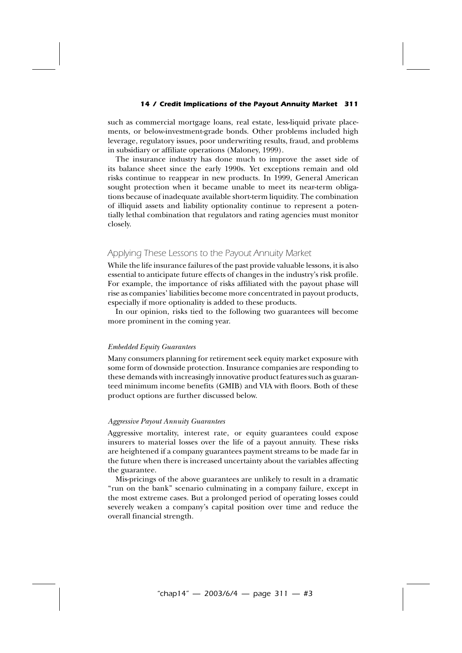such as commercial mortgage loans, real estate, less-liquid private placements, or below-investment-grade bonds. Other problems included high leverage, regulatory issues, poor underwriting results, fraud, and problems in subsidiary or affiliate operations (Maloney, 1999).

The insurance industry has done much to improve the asset side of its balance sheet since the early 1990s. Yet exceptions remain and old risks continue to reappear in new products. In 1999, General American sought protection when it became unable to meet its near-term obligations because of inadequate available short-term liquidity. The combination of illiquid assets and liability optionality continue to represent a potentially lethal combination that regulators and rating agencies must monitor closely.

# *Applying These Lessons to the Payout Annuity Market*

While the life insurance failures of the past provide valuable lessons, it is also essential to anticipate future effects of changes in the industry's risk profile. For example, the importance of risks affiliated with the payout phase will rise as companies' liabilities become more concentrated in payout products, especially if more optionality is added to these products.

In our opinion, risks tied to the following two guarantees will become more prominent in the coming year.

#### *Embedded Equity Guarantees*

Many consumers planning for retirement seek equity market exposure with some form of downside protection. Insurance companies are responding to these demands with increasingly innovative product features such as guaranteed minimum income benefits (GMIB) and VIA with floors. Both of these product options are further discussed below.

#### *Aggressive Payout Annuity Guarantees*

Aggressive mortality, interest rate, or equity guarantees could expose insurers to material losses over the life of a payout annuity. These risks are heightened if a company guarantees payment streams to be made far in the future when there is increased uncertainty about the variables affecting the guarantee.

Mis-pricings of the above guarantees are unlikely to result in a dramatic ''run on the bank'' scenario culminating in a company failure, except in the most extreme cases. But a prolonged period of operating losses could severely weaken a company's capital position over time and reduce the overall financial strength.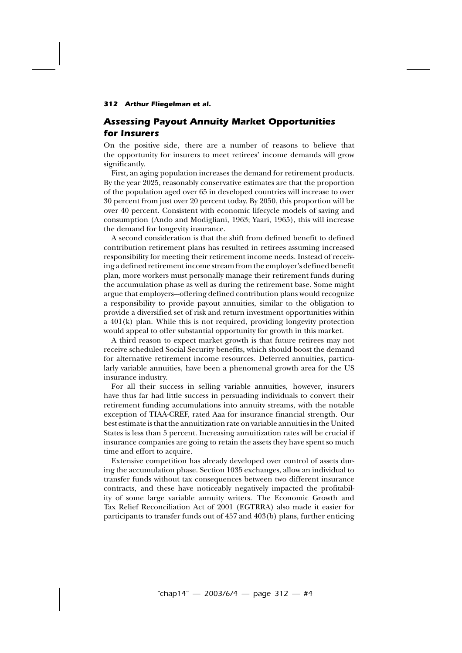# *Assessing Payout Annuity Market Opportunities for Insurers*

On the positive side, there are a number of reasons to believe that the opportunity for insurers to meet retirees' income demands will grow significantly.

First, an aging population increases the demand for retirement products. By the year 2025, reasonably conservative estimates are that the proportion of the population aged over 65 in developed countries will increase to over 30 percent from just over 20 percent today. By 2050, this proportion will be over 40 percent. Consistent with economic lifecycle models of saving and consumption (Ando and Modigliani, 1963; Yaari, 1965), this will increase the demand for longevity insurance.

A second consideration is that the shift from defined benefit to defined contribution retirement plans has resulted in retirees assuming increased responsibility for meeting their retirement income needs. Instead of receiving a defined retirement income stream from the employer's defined benefit plan, more workers must personally manage their retirement funds during the accumulation phase as well as during the retirement base. Some might argue that employers-offering defined contribution plans would recognize a responsibility to provide payout annuities, similar to the obligation to provide a diversified set of risk and return investment opportunities within a 401(k) plan. While this is not required, providing longevity protection would appeal to offer substantial opportunity for growth in this market.

A third reason to expect market growth is that future retirees may not receive scheduled Social Security benefits, which should boost the demand for alternative retirement income resources. Deferred annuities, particularly variable annuities, have been a phenomenal growth area for the US insurance industry.

For all their success in selling variable annuities, however, insurers have thus far had little success in persuading individuals to convert their retirement funding accumulations into annuity streams, with the notable exception of TIAA-CREF, rated Aaa for insurance financial strength. Our best estimate is that the annuitization rate on variable annuities in the United States is less than 5 percent. Increasing annuitization rates will be crucial if insurance companies are going to retain the assets they have spent so much time and effort to acquire.

Extensive competition has already developed over control of assets during the accumulation phase. Section 1035 exchanges, allow an individual to transfer funds without tax consequences between two different insurance contracts, and these have noticeably negatively impacted the profitability of some large variable annuity writers. The Economic Growth and Tax Relief Reconciliation Act of 2001 (EGTRRA) also made it easier for participants to transfer funds out of 457 and 403(b) plans, further enticing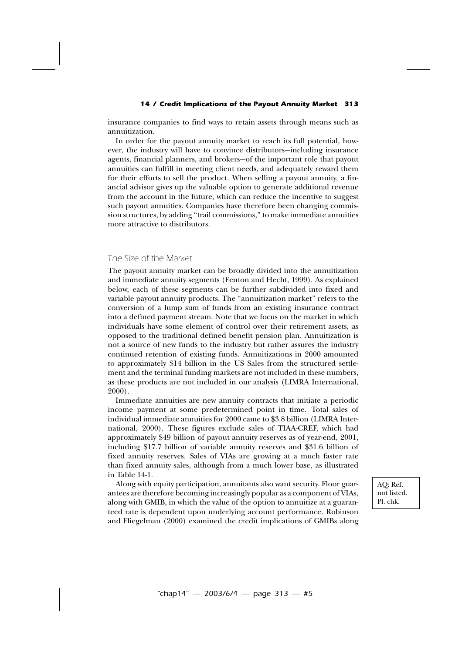insurance companies to find ways to retain assets through means such as annuitization.

In order for the payout annuity market to reach its full potential, however, the industry will have to convince distributors—including insurance agents, financial planners, and brokers--of the important role that payout annuities can fulfill in meeting client needs, and adequately reward them for their efforts to sell the product. When selling a payout annuity, a financial advisor gives up the valuable option to generate additional revenue from the account in the future, which can reduce the incentive to suggest such payout annuities. Companies have therefore been changing commission structures, by adding "trail commissions," to make immediate annuities more attractive to distributors.

### *The Size of the Market*

The payout annuity market can be broadly divided into the annuitization and immediate annuity segments (Fenton and Hecht, 1999). As explained below, each of these segments can be further subdivided into fixed and variable payout annuity products. The "annuitization market" refers to the conversion of a lump sum of funds from an existing insurance contract into a defined payment stream. Note that we focus on the market in which individuals have some element of control over their retirement assets, as opposed to the traditional defined benefit pension plan. Annuitization is not a source of new funds to the industry but rather assures the industry continued retention of existing funds. Annuitizations in 2000 amounted to approximately \$14 billion in the US Sales from the structured settlement and the terminal funding markets are not included in these numbers, as these products are not included in our analysis (LIMRA International, 2000).

Immediate annuities are new annuity contracts that initiate a periodic income payment at some predetermined point in time. Total sales of individual immediate annuities for 2000 came to \$3.8 billion (LIMRA International, 2000). These figures exclude sales of TIAA-CREF, which had approximately \$49 billion of payout annuity reserves as of year-end, 2001, including \$17.7 billion of variable annuity reserves and \$31.6 billion of fixed annuity reserves. Sales of VIAs are growing at a much faster rate than fixed annuity sales, although from a much lower base, as illustrated in Table 14-1.

Along with equity participation, annuitants also want security. Floor guarantees are therefore becoming increasingly popular as a component of VIAs, along with GMIB, in which the value of the option to annuitize at a guaranteed rate is dependent upon underlying account performance. Robinson and Fliegelman (2000) examined the credit implications of GMIBs along AQ: Ref. not listed. Pl. chk.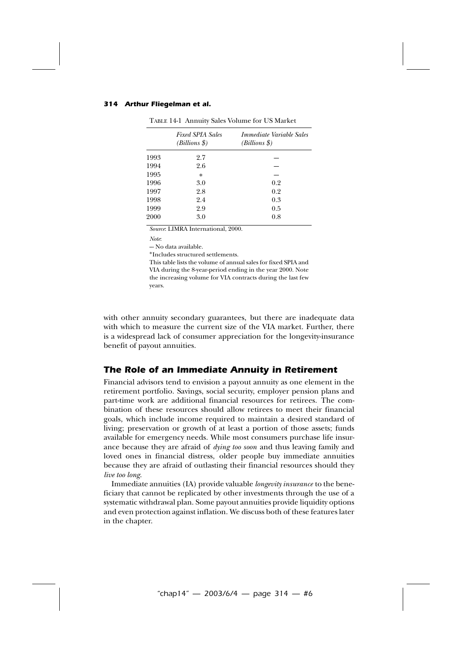|      | <b>Fixed SPIA Sales</b><br>$(Billions \, \, \text{\$})$ | <i>Immediate Variable Sales</i><br>$(Billions \, \$ |  |  |
|------|---------------------------------------------------------|-----------------------------------------------------|--|--|
| 1993 | 2.7                                                     |                                                     |  |  |
| 1994 | 2.6                                                     |                                                     |  |  |
| 1995 | $\ast$                                                  |                                                     |  |  |
| 1996 | 3.0                                                     | 0.2                                                 |  |  |
| 1997 | 2.8                                                     | 0.2                                                 |  |  |
| 1998 | 2.4                                                     | 0.3                                                 |  |  |
| 1999 | 2.9                                                     | 0.5                                                 |  |  |
| 2000 | 3.0                                                     | 0.8                                                 |  |  |

TABLE 14-1 Annuity Sales Volume for US Market

*Source*: LIMRA International, 2000.

*Note*:

- No data available.

∗Includes structured settlements.

This table lists the volume of annual sales for fixed SPIA and VIA during the 8-year-period ending in the year 2000. Note the increasing volume for VIA contracts during the last few years.

with other annuity secondary guarantees, but there are inadequate data with which to measure the current size of the VIA market. Further, there is a widespread lack of consumer appreciation for the longevity-insurance benefit of payout annuities.

# *The Role of an Immediate Annuity in Retirement*

Financial advisors tend to envision a payout annuity as one element in the retirement portfolio. Savings, social security, employer pension plans and part-time work are additional financial resources for retirees. The combination of these resources should allow retirees to meet their financial goals, which include income required to maintain a desired standard of living; preservation or growth of at least a portion of those assets; funds available for emergency needs. While most consumers purchase life insurance because they are afraid of *dying too soon* and thus leaving family and loved ones in financial distress, older people buy immediate annuities because they are afraid of outlasting their financial resources should they *live too long*.

Immediate annuities (IA) provide valuable *longevity insurance* to the beneficiary that cannot be replicated by other investments through the use of a systematic withdrawal plan. Some payout annuities provide liquidity options and even protection against inflation. We discuss both of these features later in the chapter.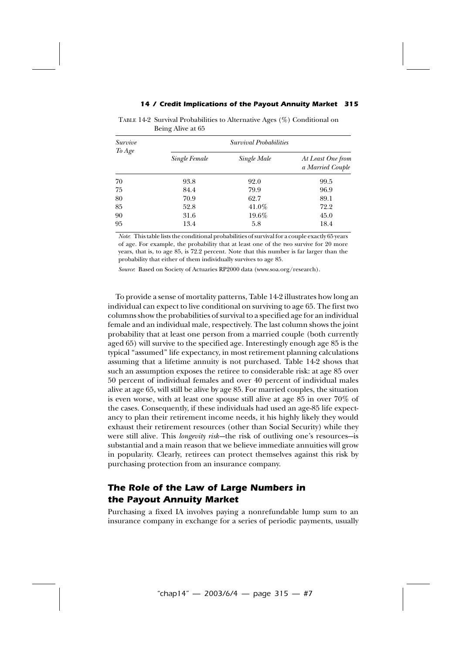| <i>Survive</i><br>To Age | <i>Survival Probabilities</i> |             |                                       |  |  |  |
|--------------------------|-------------------------------|-------------|---------------------------------------|--|--|--|
|                          | <b>Single Female</b>          | Single Male | At Least One from<br>a Married Couple |  |  |  |
| 70                       | 93.8                          | 92.0        | 99.5                                  |  |  |  |
| 75                       | 84.4                          | 79.9        | 96.9                                  |  |  |  |
| 80                       | 70.9                          | 62.7        | 89.1                                  |  |  |  |
| 85                       | 52.8                          | 41.0%       | 72.2                                  |  |  |  |
| 90                       | 31.6                          | 19.6%       | 45.0                                  |  |  |  |
| 95                       | 13.4                          | 5.8         | 18.4                                  |  |  |  |

TABLE 14-2 Survival Probabilities to Alternative Ages (%) Conditional on Being Alive at 65

*Note*: This table lists the conditional probabilities of survival for a couple exactly 65 years of age. For example, the probability that at least one of the two survive for 20 more years, that is, to age 85, is 72.2 percent. Note that this number is far larger than the probability that either of them individually survives to age 85.

*Source*: Based on Society of Actuaries RP2000 data (www.soa.org/research).

To provide a sense of mortality patterns, Table 14-2 illustrates how long an individual can expect to live conditional on surviving to age 65. The first two columns show the probabilities of survival to a specified age for an individual female and an individual male, respectively. The last column shows the joint probability that at least one person from a married couple (both currently aged 65) will survive to the specified age. Interestingly enough age 85 is the typical ''assumed'' life expectancy, in most retirement planning calculations assuming that a lifetime annuity is not purchased. Table 14-2 shows that such an assumption exposes the retiree to considerable risk: at age 85 over 50 percent of individual females and over 40 percent of individual males alive at age 65, will still be alive by age 85. For married couples, the situation is even worse, with at least one spouse still alive at age 85 in over 70% of the cases. Consequently, if these individuals had used an age-85 life expectancy to plan their retirement income needs, it his highly likely they would exhaust their retirement resources (other than Social Security) while they were still alive. This *longevity risk*--the risk of outliving one's resources--is substantial and a main reason that we believe immediate annuities will grow in popularity. Clearly, retirees can protect themselves against this risk by purchasing protection from an insurance company.

# *The Role of the Law of Large Numbers in the Payout Annuity Market*

Purchasing a fixed IA involves paying a nonrefundable lump sum to an insurance company in exchange for a series of periodic payments, usually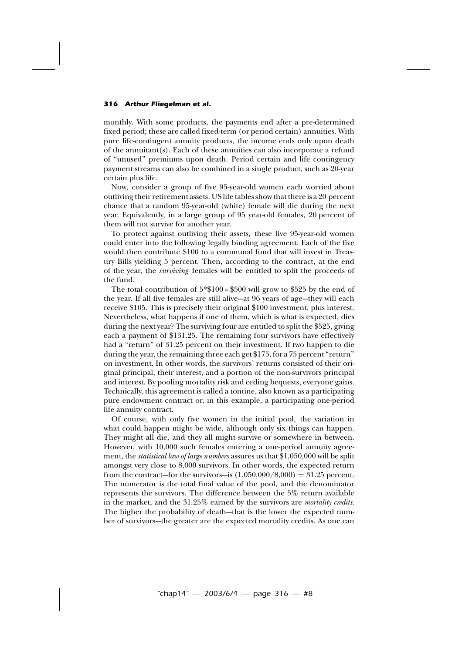monthly. With some products, the payments end after a pre-determined fixed period; these are called fixed-term (or period certain) annuities. With pure life-contingent annuity products, the income ends only upon death of the annuitant(s). Each of these annuities can also incorporate a refund of ''unused'' premiums upon death. Period certain and life contingency payment streams can also be combined in a single product, such as 20-year certain plus life.

Now, consider a group of five 95-year-old women each worried about outliving their retirement assets. US life tables show that there is a 20 percent chance that a random 95-year-old (white) female will die during the next year. Equivalently, in a large group of 95 year-old females, 20 percent of them will not survive for another year.

To protect against outliving their assets, these five 95-year-old women could enter into the following legally binding agreement. Each of the five would then contribute \$100 to a communal fund that will invest in Treasury Bills yielding 5 percent. Then, according to the contract, at the end of the year, the *surviving* females will be entitled to split the proceeds of the fund.

The total contribution of  $5*100 = $500$  will grow to \$525 by the end of the year. If all five females are still alive—at 96 years of age—they will each receive \$105. This is precisely their original \$100 investment, plus interest. Nevertheless, what happens if one of them, which is what is expected, dies during the next year? The surviving four are entitled to split the \$525, giving each a payment of \$131.25. The remaining four survivors have effectively had a "return" of 31.25 percent on their investment. If two happen to die during the year, the remaining three each get \$175, for a 75 percent ''return'' on investment. In other words, the survivors' returns consisted of their original principal, their interest, and a portion of the non-survivors principal and interest. By pooling mortality risk and ceding bequests, everyone gains. Technically, this agreement is called a tontine, also known as a participating pure endowment contract or, in this example, a participating one-period life annuity contract.

Of course, with only five women in the initial pool, the variation in what could happen might be wide, although only six things can happen. They might all die, and they all might survive or somewhere in between. However, with 10,000 such females entering a one-period annuity agreement, the *statistical law of large numbers* assures us that \$1,050,000 will be split amongst very close to 8,000 survivors. In other words, the expected return from the contract---for the survivors--is  $(1,050,000/8,000) = 31.25$  percent. The numerator is the total final value of the pool, and the denominator represents the survivors. The difference between the 5% return available in the market, and the 31.25% earned by the survivors are *mortality credits*. The higher the probability of death—that is the lower the expected number of survivors--the greater are the expected mortality credits. As one can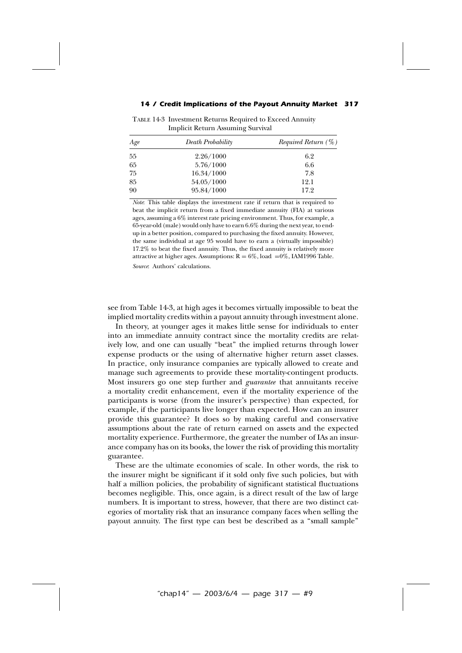TABLE 14-3 Investment Returns Required to Exceed Annuity Implicit Return Assuming Survival

| Age | Death Probability | <i>Required Return</i> $(\%)$ |  |  |
|-----|-------------------|-------------------------------|--|--|
| 55  | 2.26/1000         | 6.2                           |  |  |
| 65  | 5.76/1000         | 6.6                           |  |  |
| 75  | 16.34/1000        | 7.8                           |  |  |
| 85  | 54.05/1000        | 12.1                          |  |  |
| 90  | 95.84/1000        | 17.2                          |  |  |

*Note*: This table displays the investment rate if return that is required to beat the implicit return from a fixed immediate annuity (FIA) at various ages, assuming a 6% interest rate pricing environment. Thus, for example, a 65-year-old (male) would only have to earn 6.6% during the next year, to endup in a better position, compared to purchasing the fixed annuity. However, the same individual at age 95 would have to earn a (virtually impossible) 17.2% to beat the fixed annuity. Thus, the fixed annuity is relatively more attractive at higher ages. Assumptions:  $R = 6\%$ , load  $= 0\%$ , IAM1996 Table. *Source*: Authors' calculations.

see from Table 14-3, at high ages it becomes virtually impossible to beat the implied mortality credits within a payout annuity through investment alone.

In theory, at younger ages it makes little sense for individuals to enter into an immediate annuity contract since the mortality credits are relatively low, and one can usually ''beat'' the implied returns through lower expense products or the using of alternative higher return asset classes. In practice, only insurance companies are typically allowed to create and manage such agreements to provide these mortality-contingent products. Most insurers go one step further and *guarantee* that annuitants receive a mortality credit enhancement, even if the mortality experience of the participants is worse (from the insurer's perspective) than expected, for example, if the participants live longer than expected. How can an insurer provide this guarantee? It does so by making careful and conservative assumptions about the rate of return earned on assets and the expected mortality experience. Furthermore, the greater the number of IAs an insurance company has on its books, the lower the risk of providing this mortality guarantee.

These are the ultimate economies of scale. In other words, the risk to the insurer might be significant if it sold only five such policies, but with half a million policies, the probability of significant statistical fluctuations becomes negligible. This, once again, is a direct result of the law of large numbers. It is important to stress, however, that there are two distinct categories of mortality risk that an insurance company faces when selling the payout annuity. The first type can best be described as a ''small sample''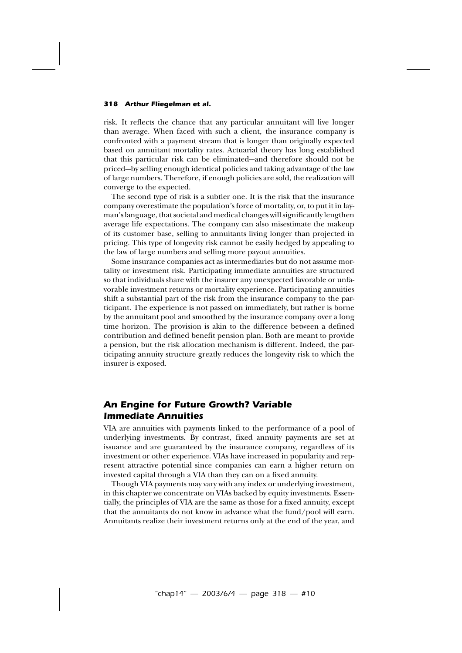risk. It reflects the chance that any particular annuitant will live longer than average. When faced with such a client, the insurance company is confronted with a payment stream that is longer than originally expected based on annuitant mortality rates. Actuarial theory has long established that this particular risk can be eliminated—and therefore should not be priced-by selling enough identical policies and taking advantage of the law of large numbers. Therefore, if enough policies are sold, the realization will converge to the expected.

The second type of risk is a subtler one. It is the risk that the insurance company overestimate the population's force of mortality, or, to put it in layman's language, that societal and medical changes will significantly lengthen average life expectations. The company can also misestimate the makeup of its customer base, selling to annuitants living longer than projected in pricing. This type of longevity risk cannot be easily hedged by appealing to the law of large numbers and selling more payout annuities.

Some insurance companies act as intermediaries but do not assume mortality or investment risk. Participating immediate annuities are structured so that individuals share with the insurer any unexpected favorable or unfavorable investment returns or mortality experience. Participating annuities shift a substantial part of the risk from the insurance company to the participant. The experience is not passed on immediately, but rather is borne by the annuitant pool and smoothed by the insurance company over a long time horizon. The provision is akin to the difference between a defined contribution and defined benefit pension plan. Both are meant to provide a pension, but the risk allocation mechanism is different. Indeed, the participating annuity structure greatly reduces the longevity risk to which the insurer is exposed.

# *An Engine for Future Growth? Variable Immediate Annuities*

VIA are annuities with payments linked to the performance of a pool of underlying investments. By contrast, fixed annuity payments are set at issuance and are guaranteed by the insurance company, regardless of its investment or other experience. VIAs have increased in popularity and represent attractive potential since companies can earn a higher return on invested capital through a VIA than they can on a fixed annuity.

Though VIA payments may vary with any index or underlying investment, in this chapter we concentrate on VIAs backed by equity investments. Essentially, the principles of VIA are the same as those for a fixed annuity, except that the annuitants do not know in advance what the fund/pool will earn. Annuitants realize their investment returns only at the end of the year, and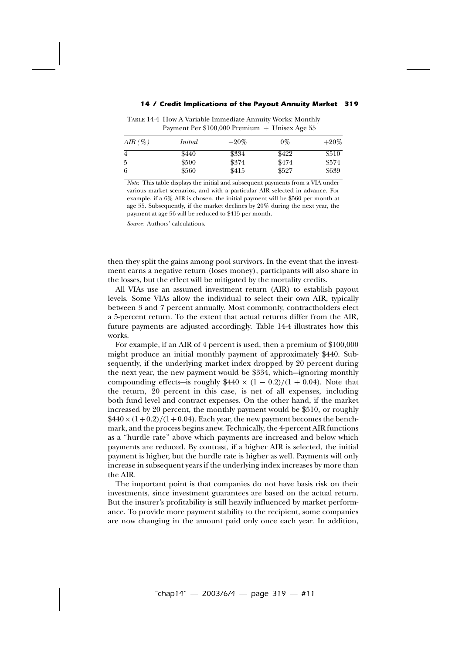| AIR (%)        | Initial | $-20%$ | $0\%$ | $+20\%$ |
|----------------|---------|--------|-------|---------|
| $\overline{4}$ | \$440   | \$334  | \$422 | \$510   |
| 5              | \$500   | \$374  | \$474 | \$574   |
| 6              | \$560   | \$415  | \$527 | \$639   |

TABLE 14-4 How A Variable Immediate Annuity Works: Monthly Payment Per \$100,000 Premium + Unisex Age 55

*Note*: This table displays the initial and subsequent payments from a VIA under various market scenarios, and with a particular AIR selected in advance. For example, if a 6% AIR is chosen, the initial payment will be \$560 per month at age 55. Subsequently, if the market declines by 20% during the next year, the payment at age 56 will be reduced to \$415 per month.

*Source*: Authors' calculations.

then they split the gains among pool survivors. In the event that the investment earns a negative return (loses money), participants will also share in the losses, but the effect will be mitigated by the mortality credits.

All VIAs use an assumed investment return (AIR) to establish payout levels. Some VIAs allow the individual to select their own AIR, typically between 3 and 7 percent annually. Most commonly, contractholders elect a 5-percent return. To the extent that actual returns differ from the AIR, future payments are adjusted accordingly. Table 14-4 illustrates how this works.

For example, if an AIR of 4 percent is used, then a premium of \$100,000 might produce an initial monthly payment of approximately \$440. Subsequently, if the underlying market index dropped by 20 percent during the next year, the new payment would be \$334, which--ignoring monthly compounding effects--is roughly  $$440 \times (1 - 0.2)/(1 + 0.04)$ . Note that the return, 20 percent in this case, is net of all expenses, including both fund level and contract expenses. On the other hand, if the market increased by 20 percent, the monthly payment would be \$510, or roughly  $$440 \times (1+0.2)/(1+0.04)$ . Each year, the new payment becomes the benchmark, and the process begins anew. Technically, the 4-percent AIR functions as a ''hurdle rate'' above which payments are increased and below which payments are reduced. By contrast, if a higher AIR is selected, the initial payment is higher, but the hurdle rate is higher as well. Payments will only increase in subsequent years if the underlying index increases by more than the AIR.

The important point is that companies do not have basis risk on their investments, since investment guarantees are based on the actual return. But the insurer's profitability is still heavily influenced by market performance. To provide more payment stability to the recipient, some companies are now changing in the amount paid only once each year. In addition,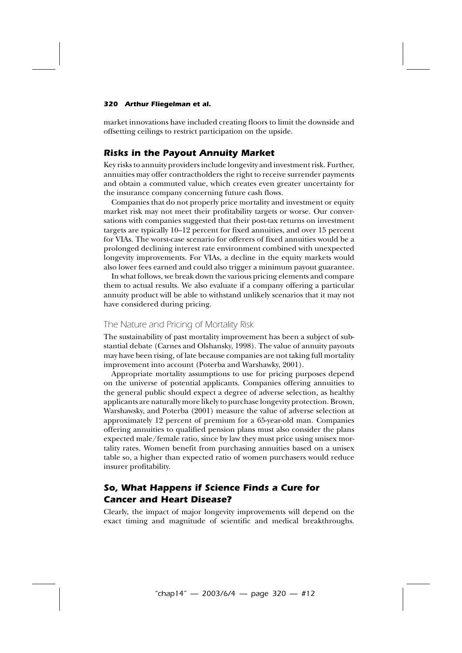market innovations have included creating floors to limit the downside and offsetting ceilings to restrict participation on the upside.

# *Risks in the Payout Annuity Market*

Key risks to annuity providers include longevity and investment risk. Further, annuities may offer contractholders the right to receive surrender payments and obtain a commuted value, which creates even greater uncertainty for the insurance company concerning future cash flows.

Companies that do not properly price mortality and investment or equity market risk may not meet their profitability targets or worse. Our conversations with companies suggested that their post-tax returns on investment targets are typically 10–12 percent for fixed annuities, and over 15 percent for VIAs. The worst-case scenario for offerers of fixed annuities would be a prolonged declining interest rate environment combined with unexpected longevity improvements. For VIAs, a decline in the equity markets would also lower fees earned and could also trigger a minimum payout guarantee.

In what follows, we break down the various pricing elements and compare them to actual results. We also evaluate if a company offering a particular annuity product will be able to withstand unlikely scenarios that it may not have considered during pricing.

# *The Nature and Pricing of Mortality Risk*

The sustainability of past mortality improvement has been a subject of substantial debate (Carnes and Olshansky, 1998). The value of annuity payouts may have been rising, of late because companies are not taking full mortality improvement into account (Poterba and Warshawky, 2001).

Appropriate mortality assumptions to use for pricing purposes depend on the universe of potential applicants. Companies offering annuities to the general public should expect a degree of adverse selection, as healthy applicants are naturally more likely to purchase longevity protection. Brown, Warshawsky, and Poterba (2001) measure the value of adverse selection at approximately 12 percent of premium for a 65-year-old man. Companies offering annuities to qualified pension plans must also consider the plans expected male/female ratio, since by law they must price using unisex mortality rates. Women benefit from purchasing annuities based on a unisex table so, a higher than expected ratio of women purchasers would reduce insurer profitability.

# *So, What Happens if Science Finds a Cure for Cancer and Heart Disease?*

Clearly, the impact of major longevity improvements will depend on the exact timing and magnitude of scientific and medical breakthroughs.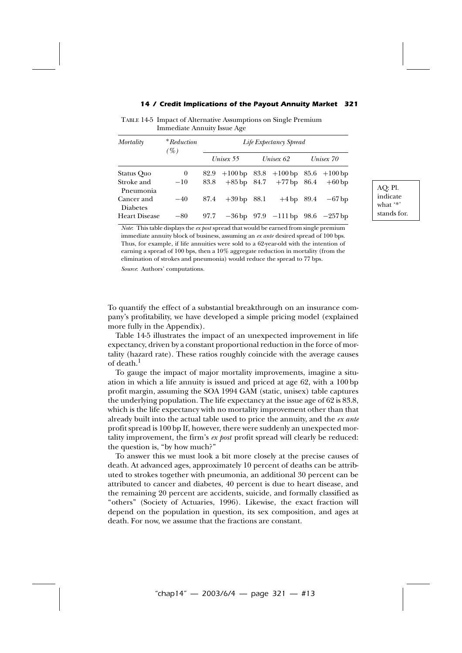TABLE 14-5 Impact of Alternative Assumptions on Single Premium Immediate Annuity Issue Age

| Mortality                     | <i>*Reduction</i><br>$($ %) | Life Expectancy Spread |                          |           |                                                                          |           |          |
|-------------------------------|-----------------------------|------------------------|--------------------------|-----------|--------------------------------------------------------------------------|-----------|----------|
|                               |                             | Unisex 55              |                          | Unisex 62 |                                                                          | Unisex 70 |          |
| Status Quo                    | $\boldsymbol{0}$            | 82.9                   |                          |           | $+100 \,\mathrm{bp}$ 83.8 $+100 \,\mathrm{bp}$ 85.6 $+100 \,\mathrm{bp}$ |           |          |
| Stroke and<br>Pneumonia       | $-10$                       | 83.8                   |                          |           | $+85 \,\mathrm{bp}$ 84.7 $+77 \,\mathrm{bp}$ 86.4                        |           | $+60$ bp |
| Cancer and<br><b>Diabetes</b> | $-40$                       | 87.4                   | $+39 \,\mathrm{bp}$ 88.1 |           | $+4 \,\mathrm{bp}$ 89.4                                                  |           | $-67$ bp |
| <b>Heart Disease</b>          | $-80$                       | 97.7                   |                          |           | $-36 \text{ bp}$ 97.9 $-111 \text{ bp}$ 98.6 $-257 \text{ bp}$           |           |          |

AQ: Pl. indicate what '\*' stands for.

*Note*: This table displays the *ex post* spread that would be earned from single premium immediate annuity block of business, assuming an *ex ante* desired spread of 100 bps. Thus, for example, if life annuities were sold to a 62-year-old with the intention of earning a spread of 100 bps, then a 10% aggregate reduction in mortality (from the elimination of strokes and pneumonia) would reduce the spread to 77 bps.

*Source*: Authors' computations.

To quantify the effect of a substantial breakthrough on an insurance company's profitability, we have developed a simple pricing model (explained more fully in the Appendix).

Table 14-5 illustrates the impact of an unexpected improvement in life expectancy, driven by a constant proportional reduction in the force of mortality (hazard rate). These ratios roughly coincide with the average causes of death.<sup>1</sup>

To gauge the impact of major mortality improvements, imagine a situation in which a life annuity is issued and priced at age 62, with a 100 bp profit margin, assuming the SOA 1994 GAM (static, unisex) table captures the underlying population. The life expectancy at the issue age of 62 is 83.8, which is the life expectancy with no mortality improvement other than that already built into the actual table used to price the annuity, and the *ex ante* profit spread is 100 bp If, however, there were suddenly an unexpected mortality improvement, the firm's *ex post* profit spread will clearly be reduced: the question is, "by how much?"

To answer this we must look a bit more closely at the precise causes of death. At advanced ages, approximately 10 percent of deaths can be attributed to strokes together with pneumonia, an additional 30 percent can be attributed to cancer and diabetes, 40 percent is due to heart disease, and the remaining 20 percent are accidents, suicide, and formally classified as ''others'' (Society of Actuaries, 1996). Likewise, the exact fraction will depend on the population in question, its sex composition, and ages at death. For now, we assume that the fractions are constant.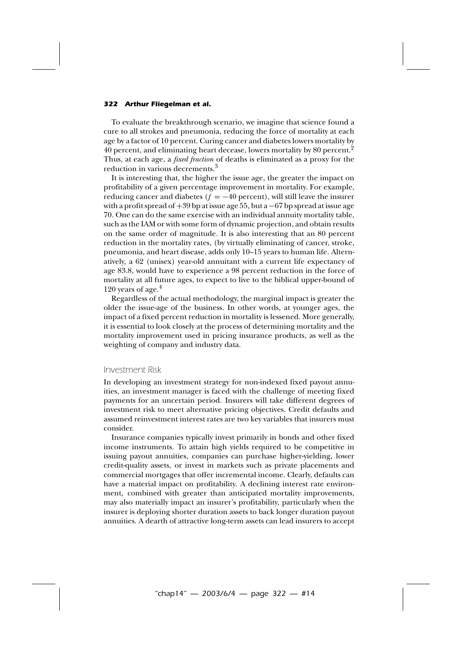To evaluate the breakthrough scenario, we imagine that science found a cure to all strokes and pneumonia, reducing the force of mortality at each age by a factor of 10 percent. Curing cancer and diabetes lowers mortality by 40 percent, and eliminating heart decease, lowers mortality by 80 percent.<sup>2</sup> Thus, at each age, a *fixed fraction* of deaths is eliminated as a proxy for the reduction in various decrements.<sup>3</sup>

It is interesting that, the higher the issue age, the greater the impact on profitability of a given percentage improvement in mortality. For example, reducing cancer and diabetes ( $f = -40$  percent), will still leave the insurer with a profit spread of  $+39$  bp at issue age 55, but a  $-67$  bp spread at issue age 70. One can do the same exercise with an individual annuity mortality table, such as the IAM or with some form of dynamic projection, and obtain results on the same order of magnitude. It is also interesting that an 80 percent reduction in the mortality rates, (by virtually eliminating of cancer, stroke, pneumonia, and heart disease, adds only 10–15 years to human life. Alternatively, a 62 (unisex) year-old annuitant with a current life expectancy of age 83.8, would have to experience a 98 percent reduction in the force of mortality at all future ages, to expect to live to the biblical upper-bound of 120 years of age.<sup>4</sup>

Regardless of the actual methodology, the marginal impact is greater the older the issue-age of the business. In other words, at younger ages, the impact of a fixed percent reduction in mortality is lessened. More generally, it is essential to look closely at the process of determining mortality and the mortality improvement used in pricing insurance products, as well as the weighting of company and industry data.

#### *Investment Risk*

In developing an investment strategy for non-indexed fixed payout annuities, an investment manager is faced with the challenge of meeting fixed payments for an uncertain period. Insurers will take different degrees of investment risk to meet alternative pricing objectives. Credit defaults and assumed reinvestment interest rates are two key variables that insurers must consider.

Insurance companies typically invest primarily in bonds and other fixed income instruments. To attain high yields required to be competitive in issuing payout annuities, companies can purchase higher-yielding, lower credit-quality assets, or invest in markets such as private placements and commercial mortgages that offer incremental income. Clearly, defaults can have a material impact on profitability. A declining interest rate environment, combined with greater than anticipated mortality improvements, may also materially impact an insurer's profitability, particularly when the insurer is deploying shorter duration assets to back longer duration payout annuities. A dearth of attractive long-term assets can lead insurers to accept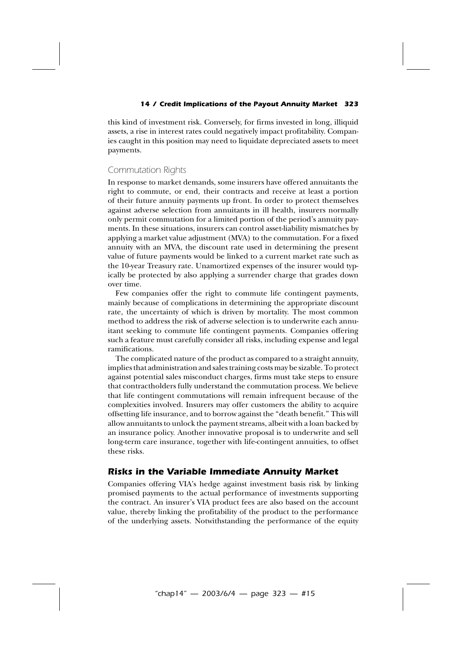this kind of investment risk. Conversely, for firms invested in long, illiquid assets, a rise in interest rates could negatively impact profitability. Companies caught in this position may need to liquidate depreciated assets to meet payments.

#### *Commutation Rights*

In response to market demands, some insurers have offered annuitants the right to commute, or end, their contracts and receive at least a portion of their future annuity payments up front. In order to protect themselves against adverse selection from annuitants in ill health, insurers normally only permit commutation for a limited portion of the period's annuity payments. In these situations, insurers can control asset-liability mismatches by applying a market value adjustment (MVA) to the commutation. For a fixed annuity with an MVA, the discount rate used in determining the present value of future payments would be linked to a current market rate such as the 10-year Treasury rate. Unamortized expenses of the insurer would typically be protected by also applying a surrender charge that grades down over time.

Few companies offer the right to commute life contingent payments, mainly because of complications in determining the appropriate discount rate, the uncertainty of which is driven by mortality. The most common method to address the risk of adverse selection is to underwrite each annuitant seeking to commute life contingent payments. Companies offering such a feature must carefully consider all risks, including expense and legal ramifications.

The complicated nature of the product as compared to a straight annuity, implies that administration and sales training costs may be sizable. To protect against potential sales misconduct charges, firms must take steps to ensure that contractholders fully understand the commutation process. We believe that life contingent commutations will remain infrequent because of the complexities involved. Insurers may offer customers the ability to acquire offsetting life insurance, and to borrow against the ''death benefit.'' This will allow annuitants to unlock the payment streams, albeit with a loan backed by an insurance policy. Another innovative proposal is to underwrite and sell long-term care insurance, together with life-contingent annuities, to offset these risks.

## *Risks in the Variable Immediate Annuity Market*

Companies offering VIA's hedge against investment basis risk by linking promised payments to the actual performance of investments supporting the contract. An insurer's VIA product fees are also based on the account value, thereby linking the profitability of the product to the performance of the underlying assets. Notwithstanding the performance of the equity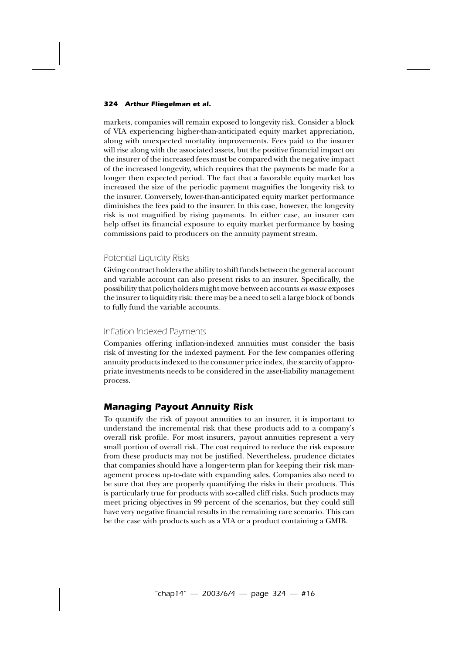markets, companies will remain exposed to longevity risk. Consider a block of VIA experiencing higher-than-anticipated equity market appreciation, along with unexpected mortality improvements. Fees paid to the insurer will rise along with the associated assets, but the positive financial impact on the insurer of the increased fees must be compared with the negative impact of the increased longevity, which requires that the payments be made for a longer then expected period. The fact that a favorable equity market has increased the size of the periodic payment magnifies the longevity risk to the insurer. Conversely, lower-than-anticipated equity market performance diminishes the fees paid to the insurer. In this case, however, the longevity risk is not magnified by rising payments. In either case, an insurer can help offset its financial exposure to equity market performance by basing commissions paid to producers on the annuity payment stream.

## *Potential Liquidity Risks*

Giving contract holders the ability to shift funds between the general account and variable account can also present risks to an insurer. Specifically, the possibility that policyholders might move between accounts*en masse* exposes the insurer to liquidity risk: there may be a need to sell a large block of bonds to fully fund the variable accounts.

## *Inflation-Indexed Payments*

Companies offering inflation-indexed annuities must consider the basis risk of investing for the indexed payment. For the few companies offering annuity products indexed to the consumer price index, the scarcity of appropriate investments needs to be considered in the asset-liability management process.

# *Managing Payout Annuity Risk*

To quantify the risk of payout annuities to an insurer, it is important to understand the incremental risk that these products add to a company's overall risk profile. For most insurers, payout annuities represent a very small portion of overall risk. The cost required to reduce the risk exposure from these products may not be justified. Nevertheless, prudence dictates that companies should have a longer-term plan for keeping their risk management process up-to-date with expanding sales. Companies also need to be sure that they are properly quantifying the risks in their products. This is particularly true for products with so-called cliff risks. Such products may meet pricing objectives in 99 percent of the scenarios, but they could still have very negative financial results in the remaining rare scenario. This can be the case with products such as a VIA or a product containing a GMIB.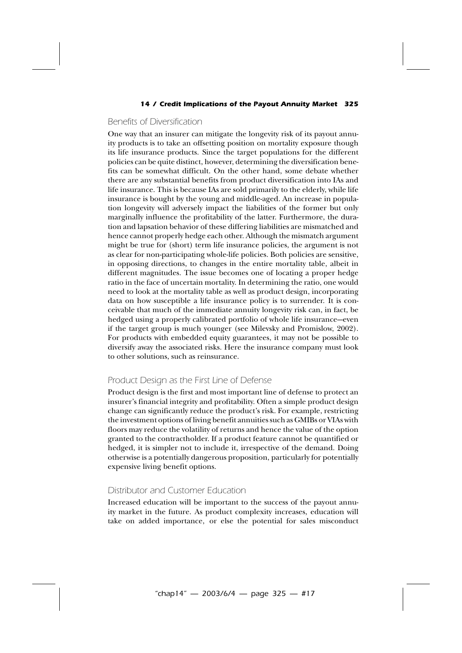## *Benefits of Diversification*

One way that an insurer can mitigate the longevity risk of its payout annuity products is to take an offsetting position on mortality exposure though its life insurance products. Since the target populations for the different policies can be quite distinct, however, determining the diversification benefits can be somewhat difficult. On the other hand, some debate whether there are any substantial benefits from product diversification into IAs and life insurance. This is because IAs are sold primarily to the elderly, while life insurance is bought by the young and middle-aged. An increase in population longevity will adversely impact the liabilities of the former but only marginally influence the profitability of the latter. Furthermore, the duration and lapsation behavior of these differing liabilities are mismatched and hence cannot properly hedge each other. Although the mismatch argument might be true for (short) term life insurance policies, the argument is not as clear for non-participating whole-life policies. Both policies are sensitive, in opposing directions, to changes in the entire mortality table, albeit in different magnitudes. The issue becomes one of locating a proper hedge ratio in the face of uncertain mortality. In determining the ratio, one would need to look at the mortality table as well as product design, incorporating data on how susceptible a life insurance policy is to surrender. It is conceivable that much of the immediate annuity longevity risk can, in fact, be hedged using a properly calibrated portfolio of whole life insurance—even if the target group is much younger (see Milevsky and Promislow, 2002). For products with embedded equity guarantees, it may not be possible to diversify away the associated risks. Here the insurance company must look to other solutions, such as reinsurance.

# *Product Design as the First Line of Defense*

Product design is the first and most important line of defense to protect an insurer's financial integrity and profitability. Often a simple product design change can significantly reduce the product's risk. For example, restricting the investment options of living benefit annuities such as GMIBs or VIAs with floors may reduce the volatility of returns and hence the value of the option granted to the contractholder. If a product feature cannot be quantified or hedged, it is simpler not to include it, irrespective of the demand. Doing otherwise is a potentially dangerous proposition, particularly for potentially expensive living benefit options.

# *Distributor and Customer Education*

Increased education will be important to the success of the payout annuity market in the future. As product complexity increases, education will take on added importance, or else the potential for sales misconduct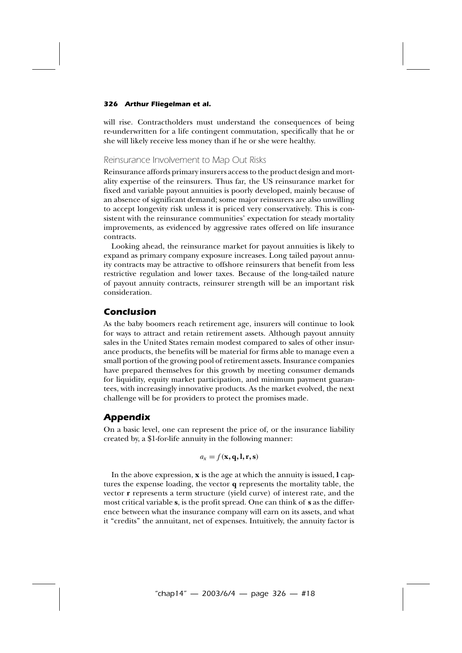will rise. Contractholders must understand the consequences of being re-underwritten for a life contingent commutation, specifically that he or she will likely receive less money than if he or she were healthy.

#### *Reinsurance Involvement to Map Out Risks*

Reinsurance affords primary insurers access to the product design and mortality expertise of the reinsurers. Thus far, the US reinsurance market for fixed and variable payout annuities is poorly developed, mainly because of an absence of significant demand; some major reinsurers are also unwilling to accept longevity risk unless it is priced very conservatively. This is consistent with the reinsurance communities' expectation for steady mortality improvements, as evidenced by aggressive rates offered on life insurance contracts.

Looking ahead, the reinsurance market for payout annuities is likely to expand as primary company exposure increases. Long tailed payout annuity contracts may be attractive to offshore reinsurers that benefit from less restrictive regulation and lower taxes. Because of the long-tailed nature of payout annuity contracts, reinsurer strength will be an important risk consideration.

# *Conclusion*

As the baby boomers reach retirement age, insurers will continue to look for ways to attract and retain retirement assets. Although payout annuity sales in the United States remain modest compared to sales of other insurance products, the benefits will be material for firms able to manage even a small portion of the growing pool of retirement assets. Insurance companies have prepared themselves for this growth by meeting consumer demands for liquidity, equity market participation, and minimum payment guarantees, with increasingly innovative products. As the market evolved, the next challenge will be for providers to protect the promises made.

## *Appendix*

On a basic level, one can represent the price of, or the insurance liability created by, a \$1-for-life annuity in the following manner:

$$
a_x = f(\mathbf{x}, \mathbf{q}, \mathbf{l}, \mathbf{r}, \mathbf{s})
$$

In the above expression, **x** is the age at which the annuity is issued, **l** captures the expense loading, the vector **q** represents the mortality table, the vector **r** represents a term structure (yield curve) of interest rate, and the most critical variable **s**, is the profit spread. One can think of **s** as the difference between what the insurance company will earn on its assets, and what it "credits" the annuitant, net of expenses. Intuitively, the annuity factor is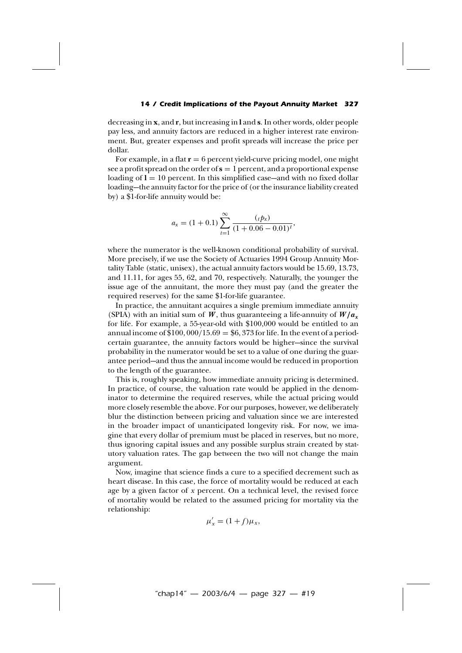decreasing in **x**, and **r**, but increasing in **l** and **s**. In other words, older people pay less, and annuity factors are reduced in a higher interest rate environment. But, greater expenses and profit spreads will increase the price per dollar.

For example, in a flat  $\mathbf{r} = 6$  percent yield-curve pricing model, one might see a profit spread on the order of **s** = 1 percent, and a proportional expense loading of  $l = 10$  percent. In this simplified case—and with no fixed dollar loading—the annuity factor for the price of (or the insurance liability created by) a \$1-for-life annuity would be:

$$
a_x = (1+0.1) \sum_{t=1}^{\infty} \frac{(t p_x)}{(1+0.06-0.01)^t},
$$

where the numerator is the well-known conditional probability of survival. More precisely, if we use the Society of Actuaries 1994 Group Annuity Mortality Table (static, unisex), the actual annuity factors would be 15.69, 13.73, and 11.11, for ages 55, 62, and 70, respectively. Naturally, the younger the issue age of the annuitant, the more they must pay (and the greater the required reserves) for the same \$1-for-life guarantee.

In practice, the annuitant acquires a single premium immediate annuity (SPIA) with an initial sum of *W*, thus guaranteeing a life-annuity of  $W/a_x$ for life. For example, a 55-year-old with \$100,000 would be entitled to an annual income of \$100, 000/15.69 = \$6, 373 for life. In the event of a periodcertain guarantee, the annuity factors would be higher-since the survival probability in the numerator would be set to a value of one during the guarantee period—and thus the annual income would be reduced in proportion to the length of the guarantee.

This is, roughly speaking, how immediate annuity pricing is determined. In practice, of course, the valuation rate would be applied in the denominator to determine the required reserves, while the actual pricing would more closely resemble the above. For our purposes, however, we deliberately blur the distinction between pricing and valuation since we are interested in the broader impact of unanticipated longevity risk. For now, we imagine that every dollar of premium must be placed in reserves, but no more, thus ignoring capital issues and any possible surplus strain created by statutory valuation rates. The gap between the two will not change the main argument.

Now, imagine that science finds a cure to a specified decrement such as heart disease. In this case, the force of mortality would be reduced at each age by a given factor of *x* percent. On a technical level, the revised force of mortality would be related to the assumed pricing for mortality via the relationship:

$$
\mu'_x = (1+f)\mu_x,
$$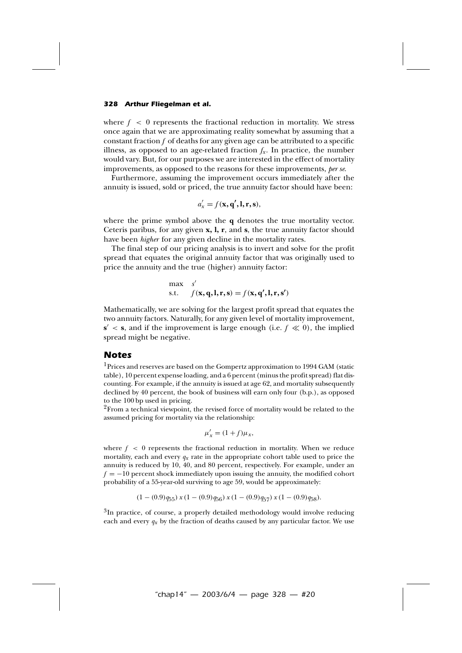where  $f \, \langle \, \cdot \, \cdot \, \rangle$  represents the fractional reduction in mortality. We stress once again that we are approximating reality somewhat by assuming that a constant fraction *f* of deaths for any given age can be attributed to a specific illness, as opposed to an age-related fraction  $f_x$ . In practice, the number would vary. But, for our purposes we are interested in the effect of mortality improvements, as opposed to the reasons for these improvements, *per se*.

Furthermore, assuming the improvement occurs immediately after the annuity is issued, sold or priced, the true annuity factor should have been:

$$
a'_x = f(\mathbf{x}, \mathbf{q}', \mathbf{l}, \mathbf{r}, \mathbf{s}),
$$

where the prime symbol above the **q** denotes the true mortality vector. Ceteris paribus, for any given **x, l, r**, and **s**, the true annuity factor should have been *higher* for any given decline in the mortality rates.

The final step of our pricing analysis is to invert and solve for the profit spread that equates the original annuity factor that was originally used to price the annuity and the true (higher) annuity factor:

$$
\begin{array}{ll}\n\max \quad s'\\ \text{s.t.} \quad f(\mathbf{x}, \mathbf{q}, \mathbf{l}, \mathbf{r}, \mathbf{s}) = f(\mathbf{x}, \mathbf{q}', \mathbf{l}, \mathbf{r}, \mathbf{s}')\n\end{array}
$$

Mathematically, we are solving for the largest profit spread that equates the two annuity factors. Naturally, for any given level of mortality improvement,  $s' < s$ , and if the improvement is large enough (i.e.  $f \ll 0$ ), the implied spread might be negative.

## *Notes*

1Prices and reserves are based on the Gompertz approximation to 1994 GAM (static table), 10 percent expense loading, and a 6 percent (minus the profit spread) flat discounting. For example, if the annuity is issued at age 62, and mortality subsequently declined by 40 percent, the book of business will earn only four (b.p.), as opposed to the 100 bp used in pricing.

<sup>2</sup>From a technical viewpoint, the revised force of mortality would be related to the assumed pricing for mortality via the relationship:

$$
\mu'_x = (1+f)\mu_x,
$$

where  $f < 0$  represents the fractional reduction in mortality. When we reduce mortality, each and every  $q_x$  rate in the appropriate cohort table used to price the annuity is reduced by 10, 40, and 80 percent, respectively. For example, under an *f* = −10 percent shock immediately upon issuing the annuity, the modified cohort probability of a 55-year-old surviving to age 59, would be approximately:

$$
(1 - (0.9)q_{55}) x (1 - (0.9)q_{56}) x (1 - (0.9)q_{57}) x (1 - (0.9)q_{58}).
$$

<sup>3</sup>In practice, of course, a properly detailed methodology would involve reducing each and every  $q_x$  by the fraction of deaths caused by any particular factor. We use

*"chap14" — 2003/6/4 — page 328 — #20*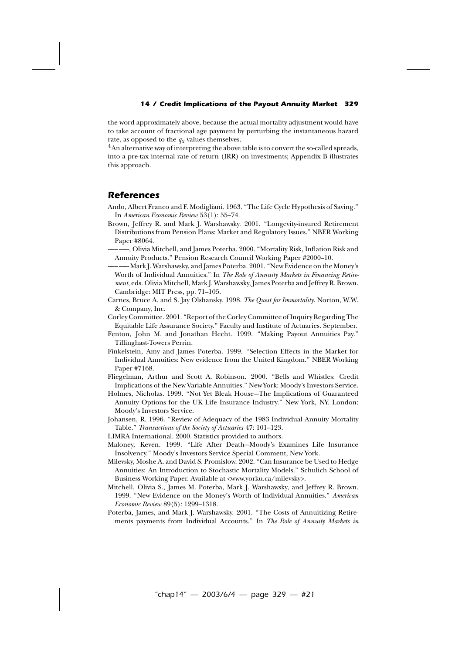the word approximately above, because the actual mortality adjustment would have to take account of fractional age payment by perturbing the instantaneous hazard rate, as opposed to the  $q_x$  values themselves.

<sup>4</sup>An alternative way of interpreting the above table is to convert the so-called spreads, into a pre-tax internal rate of return (IRR) on investments; Appendix B illustrates this approach.

## *References*

Ando, Albert Franco and F. Modigliani. 1963. ''The Life Cycle Hypothesis of Saving.'' In *American Economic Review* 53(1): 55--74.

- Brown, Jeffrey R. and Mark J. Warshawsky. 2001. ''Longevity-insured Retirement Distributions from Pension Plans: Market and Regulatory Issues.'' NBER Working Paper #8064.
- -, Olivia Mitchell, and James Poterba. 2000. "Mortality Risk, Inflation Risk and Annuity Products." Pension Research Council Working Paper #2000-10.
- Mark J. Warshawsky, and James Poterba. 2001. "New Evidence on the Money's Worth of Individual Annuities.'' In *The Role of Annuity Markets in Financing Retirement*, eds. Olivia Mitchell, Mark J. Warshawsky, James Poterba and Jeffrey R. Brown. Cambridge: MIT Press, pp. 71-105.
- Carnes, Bruce A. and S. Jay Olshansky. 1998. *The Quest for Immortality*. Norton, W.W. & Company, Inc.
- Corley Committee. 2001. ''Report of the Corley Committee of Inquiry Regarding The Equitable Life Assurance Society.'' Faculty and Institute of Actuaries. September.
- Fenton, John M. and Jonathan Hecht. 1999. ''Making Payout Annuities Pay.'' Tillinghast-Towers Perrin.
- Finkelstein, Amy and James Poterba. 1999. ''Selection Effects in the Market for Individual Annuities: New evidence from the United Kingdom.'' NBER Working Paper #7168.
- Fliegelman, Arthur and Scott A. Robinson. 2000. ''Bells and Whistles: Credit Implications of the New Variable Annuities.'' New York: Moody's Investors Service.
- Holmes, Nicholas. 1999. "Not Yet Bleak House-The Implications of Guaranteed Annuity Options for the UK Life Insurance Industry.'' New York, NY. London: Moody's Investors Service.
- Johansen, R. 1996. ''Review of Adequacy of the 1983 Individual Annuity Mortality Table." *Transactions of the Society of Actuaries* 47: 101-123.
- LIMRA International. 2000. Statistics provided to authors.
- Maloney, Keven. 1999. "Life After Death-Moody's Examines Life Insurance Insolvency.'' Moody's Investors Service Special Comment, New York.
- Milevsky, Moshe A. and David S. Promislow. 2002. ''Can Insurance be Used to Hedge Annuities: An Introduction to Stochastic Mortality Models.'' Schulich School of Business Working Paper. Available at <www.yorku.ca/milevsky>.
- Mitchell, Olivia S., James M. Poterba, Mark J. Warshawsky, and Jeffrey R. Brown. 1999. ''New Evidence on the Money's Worth of Individual Annuities.'' *American Economic Review* 89(5): 1299-1318.

Poterba, James, and Mark J. Warshawsky. 2001. ''The Costs of Annuitizing Retirements payments from Individual Accounts.'' In *The Role of Annuity Markets in*